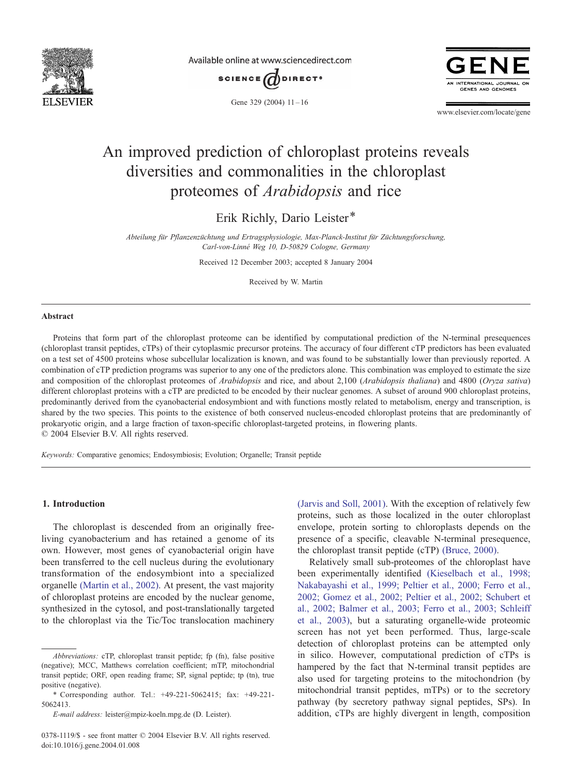

Available online at www.sciencedirect.com





Gene 329 (2004)  $11-16$ 

www.elsevier.com/locate/gene

# An improved prediction of chloroplast proteins reveals diversities and commonalities in the chloroplast proteomes of Arabidopsis and rice

Erik Richly, Dario Leister\*

Abteilung für Pflanzenzüchtung und Ertragsphysiologie, Max-Planck-Institut für Züchtungsforschung, Carl-von-Linné Weg 10, D-50829 Cologne, Germany

Received 12 December 2003; accepted 8 January 2004

Received by W. Martin

#### Abstract

Proteins that form part of the chloroplast proteome can be identified by computational prediction of the N-terminal presequences (chloroplast transit peptides, cTPs) of their cytoplasmic precursor proteins. The accuracy of four different cTP predictors has been evaluated on a test set of 4500 proteins whose subcellular localization is known, and was found to be substantially lower than previously reported. A combination of cTP prediction programs was superior to any one of the predictors alone. This combination was employed to estimate the size and composition of the chloroplast proteomes of Arabidopsis and rice, and about 2,100 (Arabidopsis thaliana) and 4800 (Oryza sativa) different chloroplast proteins with a cTP are predicted to be encoded by their nuclear genomes. A subset of around 900 chloroplast proteins, predominantly derived from the cyanobacterial endosymbiont and with functions mostly related to metabolism, energy and transcription, is shared by the two species. This points to the existence of both conserved nucleus-encoded chloroplast proteins that are predominantly of prokaryotic origin, and a large fraction of taxon-specific chloroplast-targeted proteins, in flowering plants.  $© 2004 Elsevier B.V. All rights reserved.$ 

Keywords: Comparative genomics; Endosymbiosis; Evolution; Organelle; Transit peptide

#### 1. Introduction

The chloroplast is descended from an originally freeliving cyanobacterium and has retained a genome of its own. However, most genes of cyanobacterial origin have been transferred to the cell nucleus during the evolutionary transformation of the endosymbiont into a specialized organelle [\(Martin et al., 2002\).](#page-5-0) At present, the vast majority of chloroplast proteins are encoded by the nuclear genome, synthesized in the cytosol, and post-translationally targeted to the chloroplast via the Tic/Toc translocation machinery

[\(Jarvis and Soll, 2001\).](#page-5-0) With the exception of relatively few proteins, such as those localized in the outer chloroplast envelope, protein sorting to chloroplasts depends on the presence of a specific, cleavable N-terminal presequence, the chloroplast transit peptide (cTP) [\(Bruce, 2000\).](#page-5-0)

Relatively small sub-proteomes of the chloroplast have been experimentally identified [\(Kieselbach et al., 1998;](#page-5-0) Nakabayashi et al., 1999; Peltier et al., 2000; Ferro et al., 2002; Gomez et al., 2002; Peltier et al., 2002; Schubert et al., 2002; Balmer et al., 2003; Ferro et al., 2003; Schleiff et al., 2003), but a saturating organelle-wide proteomic screen has not yet been performed. Thus, large-scale detection of chloroplast proteins can be attempted only in silico. However, computational prediction of cTPs is hampered by the fact that N-terminal transit peptides are also used for targeting proteins to the mitochondrion (by mitochondrial transit peptides, mTPs) or to the secretory pathway (by secretory pathway signal peptides, SPs). In addition, cTPs are highly divergent in length, composition

Abbreviations: cTP, chloroplast transit peptide; fp (fn), false positive (negative); MCC, Matthews correlation coefficient; mTP, mitochondrial transit peptide; ORF, open reading frame; SP, signal peptide; tp (tn), true positive (negative).

<sup>\*</sup> Corresponding author. Tel.: +49-221-5062415; fax: +49-221- 5062413.

E-mail address: leister@mpiz-koeln.mpg.de (D. Leister).

<sup>0378-1119/\$ -</sup> see front matter © 2004 Elsevier B.V. All rights reserved. doi:10.1016/j.gene.2004.01.008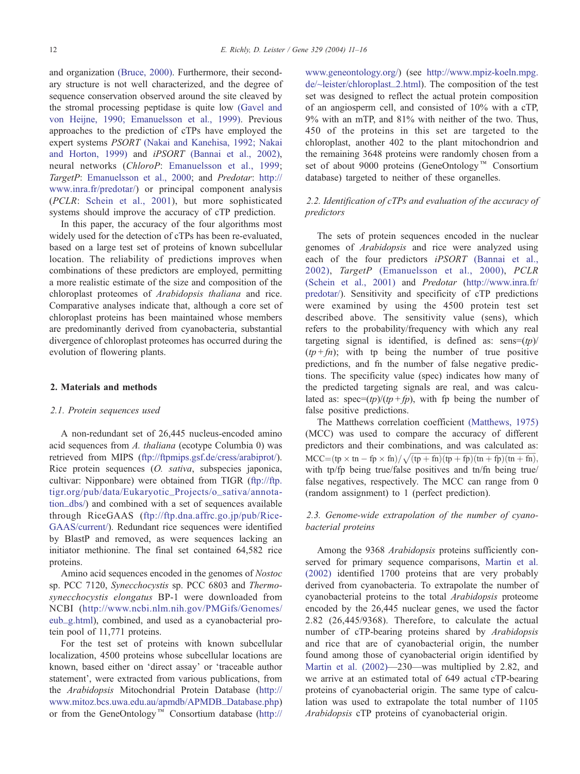and organization [\(Bruce, 2000\).](#page-5-0) Furthermore, their secondary structure is not well characterized, and the degree of sequence conservation observed around the site cleaved by the stromal processing peptidase is quite low [\(Gavel and](#page-5-0) von Heijne, 1990; Emanuelsson et al., 1999). Previous approaches to the prediction of cTPs have employed the expert systems PSORT [\(Nakai and Kanehisa, 1992; Nakai](#page-5-0) and Horton, 1999) and iPSORT [\(Bannai et al., 2002\),](#page-5-0) neural networks (ChloroP: [Emanuelsson et al., 1999;](#page-5-0) TargetP: [Emanuelsson et al., 2000;](#page-5-0) and Predotar: [http://]( http:\\www.inra.fr\predotar\ ) www.inra.fr/predotar/) or principal component analysis (PCLR: [Schein et al., 2001\)](#page-5-0), but more sophisticated systems should improve the accuracy of cTP prediction.

In this paper, the accuracy of the four algorithms most widely used for the detection of cTPs has been re-evaluated, based on a large test set of proteins of known subcellular location. The reliability of predictions improves when combinations of these predictors are employed, permitting a more realistic estimate of the size and composition of the chloroplast proteomes of Arabidopsis thaliana and rice. Comparative analyses indicate that, although a core set of chloroplast proteins has been maintained whose members are predominantly derived from cyanobacteria, substantial divergence of chloroplast proteomes has occurred during the evolution of flowering plants.

#### 2. Materials and methods

#### 2.1. Protein sequences used

A non-redundant set of 26,445 nucleus-encoded amino acid sequences from A. thaliana (ecotype Columbia 0) was retrieved from MIPS ([ftp://ftpmips.gsf.de/cress/arabiprot/\)]( ftp:\\ftpmips.gsf.de\cress\arabiprot\ ). Rice protein sequences (*O. sativa*, subspecies japonica, cultivar: Nipponbare) were obtained from TIGR ([ftp://ftp.]( ftp:\\ftp.tigr.org\pub\data\Eukaryotic_Projects\o_sativa\annotation_dbs\ ) tigr.org/pub/data/Eukaryotic\_Projects/o\_sativa/annotation\_dbs/) and combined with a set of sequences available through RiceGAAS ([ftp://ftp.dna.affrc.go.jp/pub/Rice-]( ftp:\\ftp.dna.affrc.go.jp\pub\RiceGAAS\current\ )GAAS/current/). Redundant rice sequences were identified by BlastP and removed, as were sequences lacking an initiator methionine. The final set contained 64,582 rice proteins.

Amino acid sequences encoded in the genomes of Nostoc sp. PCC 7120, Synecchocystis sp. PCC 6803 and Thermosynecchocystis elongatus BP-1 were downloaded from NCBI ([http://www.ncbi.nlm.nih.gov/PMGifs/Genomes/]( http:\\www.ncbi.nlm.nih.gov\PMGifs\Genomes\eub_g.html ) eub\_g.html), combined, and used as a cyanobacterial protein pool of 11,771 proteins.

For the test set of proteins with known subcellular localization, 4500 proteins whose subcellular locations are known, based either on 'direct assay' or 'traceable author statement', were extracted from various publications, from the Arabidopsis Mitochondrial Protein Database ([http://]( http:\\www.mitoz.bcs.uwa.edu.au\apmdb\APMDB_Database.php ) www.mitoz.bcs.uwa.edu.au/apmdb/APMDB\_Database.php) or from the GeneOntology<sup>™</sup> Consortium database ([http://]( http:\\www.geneontology.org\ )

www.geneontology.org/) (see [http://www.mpiz-koeln.mpg.]( http:\\www.mpiz-koeln.mpg.de\~leister\chloroplast_2.html ) de/~leister/chloroplast\_2.html). The composition of the test set was designed to reflect the actual protein composition of an angiosperm cell, and consisted of 10% with a cTP, 9% with an mTP, and 81% with neither of the two. Thus, 450 of the proteins in this set are targeted to the chloroplast, another 402 to the plant mitochondrion and the remaining 3648 proteins were randomly chosen from a set of about 9000 proteins (GeneOntology<sup>™</sup> Consortium database) targeted to neither of these organelles.

# 2.2. Identification of cTPs and evaluation of the accuracy of predictors

The sets of protein sequences encoded in the nuclear genomes of Arabidopsis and rice were analyzed using each of the four predictors *iPSORT* [\(Bannai et al.,](#page-5-0) 2002), TargetP [\(Emanuelsson et al., 2000\),](#page-5-0) PCLR [\(Schein et al., 2001\)](#page-5-0) and Predotar ([http://www.inra.fr/]( http:\\www.inra.fr\predotar\ ) predotar/). Sensitivity and specificity of cTP predictions were examined by using the 4500 protein test set described above. The sensitivity value (sens), which refers to the probability/frequency with which any real targeting signal is identified, is defined as:  $sens=(tp)/$  $(tp + fn)$ ; with tp being the number of true positive predictions, and fn the number of false negative predictions. The specificity value (spec) indicates how many of the predicted targeting signals are real, and was calculated as:  $spec=(tp)/(tp+fp)$ , with fp being the number of false positive predictions.

The Matthews correlation coefficient [\(Matthews, 1975\)](#page-5-0) (MCC) was used to compare the accuracy of different predictors and their combinations, and was calculated as:  $MCC = (tp \times tn - fp \times fn) / \sqrt{(tp + fn)(tp + fp)(tn + fp)(tn + fn)},$ with tp/fp being true/false positives and tn/fn being true/ false negatives, respectively. The MCC can range from 0 (random assignment) to 1 (perfect prediction).

# 2.3. Genome-wide extrapolation of the number of cyanobacterial proteins

Among the 9368 Arabidopsis proteins sufficiently conserved for primary sequence comparisons, [Martin et al.](#page-5-0) (2002) identified 1700 proteins that are very probably derived from cyanobacteria. To extrapolate the number of cyanobacterial proteins to the total Arabidopsis proteome encoded by the 26,445 nuclear genes, we used the factor 2.82 (26,445/9368). Therefore, to calculate the actual number of cTP-bearing proteins shared by Arabidopsis and rice that are of cyanobacterial origin, the number found among those of cyanobacterial origin identified by [Martin et al. \(2002\)—](#page-5-0)230—was multiplied by 2.82, and we arrive at an estimated total of 649 actual cTP-bearing proteins of cyanobacterial origin. The same type of calculation was used to extrapolate the total number of 1105 Arabidopsis cTP proteins of cyanobacterial origin.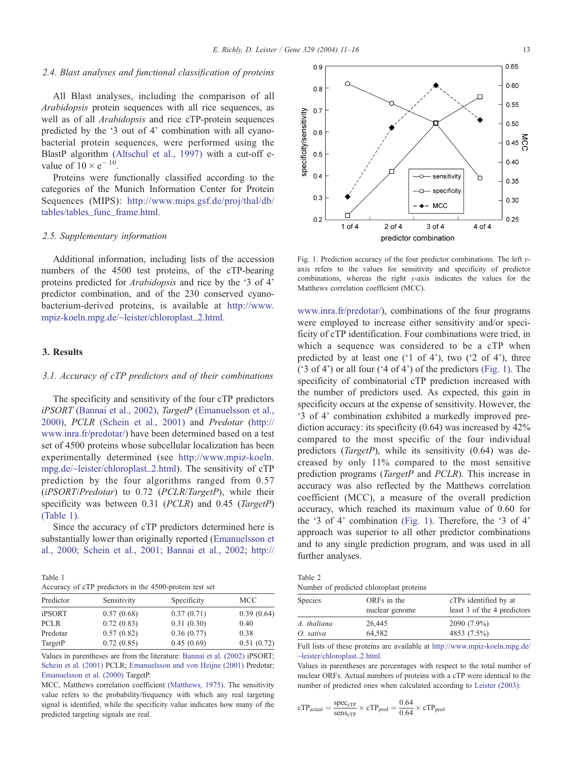#### <span id="page-2-0"></span>2.4. Blast analyses and functional classification of proteins

All Blast analyses, including the comparison of all Arabidopsis protein sequences with all rice sequences, as well as of all Arabidopsis and rice cTP-protein sequences predicted by the '3 out of 4' combination with all cyanobacterial protein sequences, were performed using the BlastP algorithm [\(Altschul et al., 1997\)](#page-5-0) with a cut-off evalue of  $10 \times e^{-10}$ .

Proteins were functionally classified according to the categories of the Munich Information Center for Protein Sequences (MIPS): [http://www.mips.gsf.de/proj/thal/db/]( http:\\www.mips.gsf.de\proj\thal\db\tables\tables_func_frame.html. ) tables/tables\_func\_frame.html.

### 2.5. Supplementary information

Additional information, including lists of the accession numbers of the 4500 test proteins, of the cTP-bearing proteins predicted for Arabidopsis and rice by the '3 of 4' predictor combination, and of the 230 conserved cyanobacterium-derived proteins, is available at [http://www.]( http:\\www.mpiz-koeln.mpg.de\~leister\chloroplast_2.html ) mpiz-koeln.mpg.de/~leister/chloroplast\_2.html.

# 3. Results

#### 3.1. Accuracy of cTP predictors and of their combinations

The specificity and sensitivity of the four cTP predictors iPSORT [\(Bannai et al., 2002\),](#page-5-0) TargetP [\(Emanuelsson et al.,](#page-5-0) 2000), PCLR [\(Schein et al., 2001\)](#page-5-0) and Predotar ([http://]( http:\\www.inra.fr\predotar\ ) www.inra.fr/predotar/) have been determined based on a test set of 4500 proteins whose subcellular localization has been experimentally determined (see [http://www.mpiz-koeln.]( http:\\www.mpiz-koeln.mpg.de\~leister\chloroplast_2.html ) mpg.de/~leister/chloroplast\_2.html). The sensitivity of cTP prediction by the four algorithms ranged from 0.57  $(iPSORT/Predotar)$  to 0.72 (PCLR/TargetP), while their specificity was between 0.31 (PCLR) and 0.45 (TargetP) (Table 1).

Since the accuracy of cTP predictors determined here is substantially lower than originally reported ([Emanuelsson et](#page-5-0) al., 2000; Schein et al., 2001; Bannai et al., 2002; [http://]( http:\\www.inra.fr\predotar\ )

Table 1 Accuracy of cTP predictors in the 4500-protein test set

| Predictor   | Sensitivity | Specificity | <b>MCC</b> |  |
|-------------|-------------|-------------|------------|--|
| iPSORT      | 0.57(0.68)  | 0.37(0.71)  | 0.39(0.64) |  |
| <b>PCLR</b> | 0.72(0.83)  | 0.31(0.30)  | 0.40       |  |
| Predotar    | 0.57(0.82)  | 0.36(0.77)  | 0.38       |  |
| TargetP     | 0.72(0.85)  | 0.45(0.69)  | 0.51(0.72) |  |

[Values in parentheses are from the literature:](#page-5-0) Bannai et al. (2002) iPSORT; Schein et al. (2001) PCLR; [Emanuelsson and von Heijne \(2001\)](#page-5-0) Predotar; [Emanuelsson et al. \(2000\)](#page-5-0) TargetP.

[MCC, Matthews correlation coefficient](#page-5-0) (Matthews, 1975). The sensitivity value refers to the probability/frequency with which any real targeting signal is identified, while the specificity value indicates how many of the predicted targeting signals are real.



Fig. 1. Prediction accuracy of the four predictor combinations. The left yaxis refers to the values for sensitivity and specificity of predictor combinations, whereas the right y-axis indicates the values for the Matthews correlation coefficient (MCC).

www.inra.fr/predotar/), combinations of the four programs were employed to increase either sensitivity and/or specificity of cTP identification. Four combinations were tried, in which a sequence was considered to be a cTP when predicted by at least one ('1 of 4'), two ('2 of 4'), three  $('3 of 4')$  or all four  $('4 of 4')$  of the predictors (Fig. 1). The specificity of combinatorial cTP prediction increased with the number of predictors used. As expected, this gain in specificity occurs at the expense of sensitivity. However, the '3 of 4' combination exhibited a markedly improved prediction accuracy: its specificity (0.64) was increased by 42% compared to the most specific of the four individual predictors (TargetP), while its sensitivity (0.64) was decreased by only 11% compared to the most sensitive prediction programs (TargetP and PCLR). This increase in accuracy was also reflected by the Matthews correlation coefficient (MCC), a measure of the overall prediction accuracy, which reached its maximum value of 0.60 for the '3 of 4' combination (Fig. 1). Therefore, the '3 of 4' approach was superior to all other predictor combinations and to any single prediction program, and was used in all further analyses.

Table 2 Number of predicted chloroplast proteins

| ORFs in the    | cTPs identified by at       |
|----------------|-----------------------------|
| nuclear genome | least 3 of the 4 predictors |
| 26,445         | $2090(7.9\%)$               |
| 64.582         | 4853 (7.5%)                 |
|                |                             |

[Full lists of these proteins are available at]( http:\\www.mpiz-koeln.mpg.de\~leister\chloroplast_2.html. ) http://www.mpiz-koeln.mpg.de/ ~leister/chloroplast\_2.html.

Values in parentheses are percentages with respect to the total number of nuclear ORFs. Actual numbers of proteins with a cTP were identical to the [number of predicted ones when calculated according to](#page-5-0) Leister (2003):

$$
cTP_{actual} = \frac{\text{spec}_{cTP}}{\text{sens}_{cTP}} \times cTP_{pred} = \frac{0.64}{0.64} \times cTP_{pred}
$$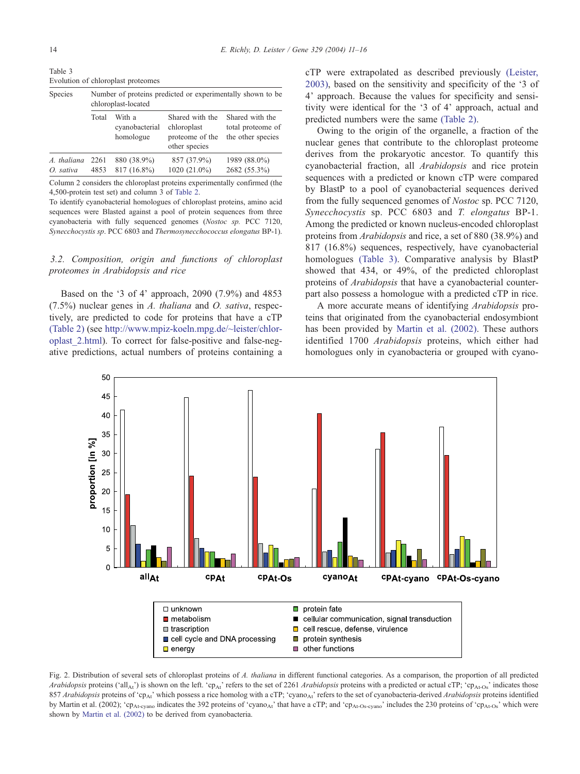<span id="page-3-0"></span>

| Species     | Number of proteins predicted or experimentally shown to be.<br>chloroplast-located |                                       |                                                                    |                                                           |  |  |
|-------------|------------------------------------------------------------------------------------|---------------------------------------|--------------------------------------------------------------------|-----------------------------------------------------------|--|--|
|             | Total                                                                              | With a<br>cyanobacterial<br>homologue | Shared with the<br>chloroplast<br>proteome of the<br>other species | Shared with the<br>total proteome of<br>the other species |  |  |
| A. thaliana | 2261                                                                               | 880 (38.9%)                           | 857 (37.9%)                                                        | 1989 (88.0%)                                              |  |  |
| O. sativa   | 4853                                                                               | 817 (16.8%)                           | 1020 (21.0%)                                                       | 2682 (55.3%)                                              |  |  |

Column 2 considers the chloroplast proteins experimentally confirmed (the [4,500-protein test set\) and column 3 of](#page-2-0) Table 2.

To identify cyanobacterial homologues of chloroplast proteins, amino acid sequences were Blasted against a pool of protein sequences from three cyanobacteria with fully sequenced genomes (Nostoc sp. PCC 7120, Synecchocystis sp. PCC 6803 and Thermosynecchococcus elongatus BP-1).

# 3.2. Composition, origin and functions of chloroplast proteomes in Arabidopsis and rice

Based on the '3 of 4' approach, 2090 (7.9%) and 4853 (7.5%) nuclear genes in A. thaliana and O. sativa, respectively, are predicted to code for proteins that have a cTP [\(Table 2\)](#page-2-0) (see [http://www.mpiz-koeln.mpg.de/~leister/chlor]( http:\\www.mpiz-koeln.mpg.de\~leister\chloroplast_2.html )oplast\_2.html). To correct for false-positive and false-negative predictions, actual numbers of proteins containing a cTP were extrapolated as described previously [\(Leister,](#page-5-0) 2003), based on the sensitivity and specificity of the '3 of 4' approach. Because the values for specificity and sensitivity were identical for the '3 of 4' approach, actual and predicted numbers were the same [\(Table 2\).](#page-2-0)

Owing to the origin of the organelle, a fraction of the nuclear genes that contribute to the chloroplast proteome derives from the prokaryotic ancestor. To quantify this cyanobacterial fraction, all Arabidopsis and rice protein sequences with a predicted or known cTP were compared by BlastP to a pool of cyanobacterial sequences derived from the fully sequenced genomes of Nostoc sp. PCC 7120, Synecchocystis sp. PCC 6803 and T. elongatus BP-1. Among the predicted or known nucleus-encoded chloroplast proteins from Arabidopsis and rice, a set of 880 (38.9%) and 817 (16.8%) sequences, respectively, have cyanobacterial homologues (Table 3). Comparative analysis by BlastP showed that 434, or 49%, of the predicted chloroplast proteins of Arabidopsis that have a cyanobacterial counterpart also possess a homologue with a predicted cTP in rice.

A more accurate means of identifying Arabidopsis proteins that originated from the cyanobacterial endosymbiont has been provided by [Martin et al. \(2002\).](#page-5-0) These authors identified 1700 Arabidopsis proteins, which either had homologues only in cyanobacteria or grouped with cyano-



Fig. 2. Distribution of several sets of chloroplast proteins of A. thaliana in different functional categories. As a comparison, the proportion of all predicted Arabidopsis proteins ('all<sub>At</sub>') is shown on the left. 'cp<sub>At</sub>' refers to the set of 2261 Arabidopsis proteins with a predicted or actual cTP; 'cp<sub>At-Os</sub>' indicates those 857 Arabidopsis proteins of 'cp<sub>At</sub>' which possess a rice homolog with a cTP; 'cyano<sub>At</sub>' refers to the set of cyanobacteria-derived Arabidopsis proteins identified by Martin et al. (2002); ' $cp_{A t$ -cyano indicates the 392 proteins of 'cyano<sub>At</sub>' that have a cTP; and 'cp<sub>At-Os-cyano</sub>' includes the 230 proteins of 'cp<sub>At-Os</sub>' which were shown by [Martin et al. \(2002\)](#page-5-0) to be derived from cyanobacteria.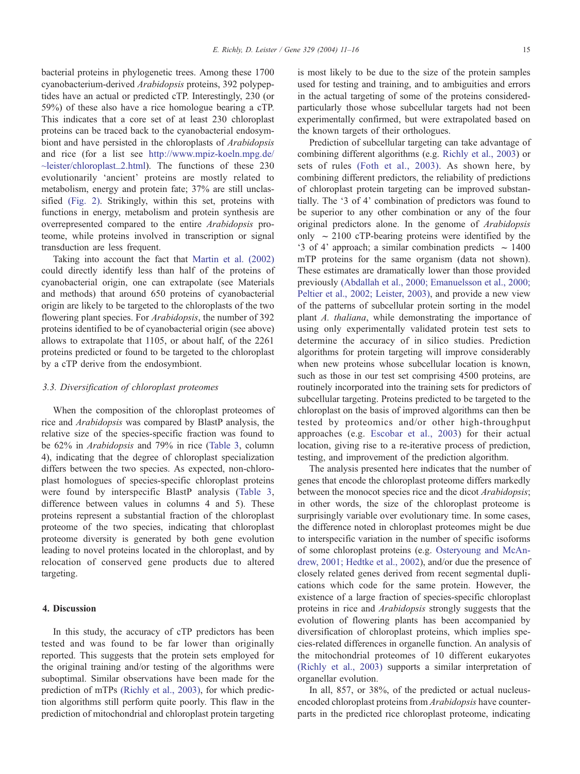bacterial proteins in phylogenetic trees. Among these 1700 cyanobacterium-derived Arabidopsis proteins, 392 polypeptides have an actual or predicted cTP. Interestingly, 230 (or 59%) of these also have a rice homologue bearing a cTP. This indicates that a core set of at least 230 chloroplast proteins can be traced back to the cyanobacterial endosymbiont and have persisted in the chloroplasts of Arabidopsis and rice (for a list see [http://www.mpiz-koeln.mpg.de/]( http:\\www.mpiz-koeln.mpg.de\~leister\chloroplast_2.html ) ~leister/chloroplast\_2.html). The functions of these 230 evolutionarily 'ancient' proteins are mostly related to metabolism, energy and protein fate; 37% are still unclassified [\(Fig. 2\).](#page-3-0) Strikingly, within this set, proteins with functions in energy, metabolism and protein synthesis are overrepresented compared to the entire Arabidopsis proteome, while proteins involved in transcription or signal transduction are less frequent.

Taking into account the fact that [Martin et al. \(2002\)](#page-5-0) could directly identify less than half of the proteins of cyanobacterial origin, one can extrapolate (see Materials and methods) that around 650 proteins of cyanobacterial origin are likely to be targeted to the chloroplasts of the two flowering plant species. For *Arabidopsis*, the number of 392 proteins identified to be of cyanobacterial origin (see above) allows to extrapolate that 1105, or about half, of the 2261 proteins predicted or found to be targeted to the chloroplast by a cTP derive from the endosymbiont.

### 3.3. Diversification of chloroplast proteomes

When the composition of the chloroplast proteomes of rice and Arabidopsis was compared by BlastP analysis, the relative size of the species-specific fraction was found to be 62% in Arabidopsis and 79% in rice ([Table 3,](#page-3-0) column 4), indicating that the degree of chloroplast specialization differs between the two species. As expected, non-chloroplast homologues of species-specific chloroplast proteins were found by interspecific BlastP analysis ([Table 3,](#page-3-0) difference between values in columns 4 and 5). These proteins represent a substantial fraction of the chloroplast proteome of the two species, indicating that chloroplast proteome diversity is generated by both gene evolution leading to novel proteins located in the chloroplast, and by relocation of conserved gene products due to altered targeting.

# 4. Discussion

In this study, the accuracy of cTP predictors has been tested and was found to be far lower than originally reported. This suggests that the protein sets employed for the original training and/or testing of the algorithms were suboptimal. Similar observations have been made for the prediction of mTPs [\(Richly et al., 2003\),](#page-5-0) for which prediction algorithms still perform quite poorly. This flaw in the prediction of mitochondrial and chloroplast protein targeting is most likely to be due to the size of the protein samples used for testing and training, and to ambiguities and errors in the actual targeting of some of the proteins consideredparticularly those whose subcellular targets had not been experimentally confirmed, but were extrapolated based on the known targets of their orthologues.

Prediction of subcellular targeting can take advantage of combining different algorithms (e.g. [Richly et al., 2003\)](#page-5-0) or sets of rules [\(Foth et al., 2003\).](#page-5-0) As shown here, by combining different predictors, the reliability of predictions of chloroplast protein targeting can be improved substantially. The '3 of 4' combination of predictors was found to be superior to any other combination or any of the four original predictors alone. In the genome of Arabidopsis only  $\sim$  2100 cTP-bearing proteins were identified by the '3 of 4' approach; a similar combination predicts  $\sim 1400$ mTP proteins for the same organism (data not shown). These estimates are dramatically lower than those provided previously [\(Abdallah et al., 2000; Emanuelsson et al., 2000;](#page-5-0) Peltier et al., 2002; Leister, 2003), and provide a new view of the patterns of subcellular protein sorting in the model plant A. thaliana, while demonstrating the importance of using only experimentally validated protein test sets to determine the accuracy of in silico studies. Prediction algorithms for protein targeting will improve considerably when new proteins whose subcellular location is known, such as those in our test set comprising 4500 proteins, are routinely incorporated into the training sets for predictors of subcellular targeting. Proteins predicted to be targeted to the chloroplast on the basis of improved algorithms can then be tested by proteomics and/or other high-throughput approaches (e.g. [Escobar et al., 2003\)](#page-5-0) for their actual location, giving rise to a re-iterative process of prediction, testing, and improvement of the prediction algorithm.

The analysis presented here indicates that the number of genes that encode the chloroplast proteome differs markedly between the monocot species rice and the dicot Arabidopsis; in other words, the size of the chloroplast proteome is surprisingly variable over evolutionary time. In some cases, the difference noted in chloroplast proteomes might be due to interspecific variation in the number of specific isoforms of some chloroplast proteins (e.g. [Osteryoung and McAn](#page-5-0)drew, 2001; Hedtke et al., 2002), and/or due the presence of closely related genes derived from recent segmental duplications which code for the same protein. However, the existence of a large fraction of species-specific chloroplast proteins in rice and Arabidopsis strongly suggests that the evolution of flowering plants has been accompanied by diversification of chloroplast proteins, which implies species-related differences in organelle function. An analysis of the mitochondrial proteomes of 10 different eukaryotes [\(Richly et al., 2003\)](#page-5-0) supports a similar interpretation of organellar evolution.

In all, 857, or 38%, of the predicted or actual nucleusencoded chloroplast proteins from Arabidopsis have counterparts in the predicted rice chloroplast proteome, indicating